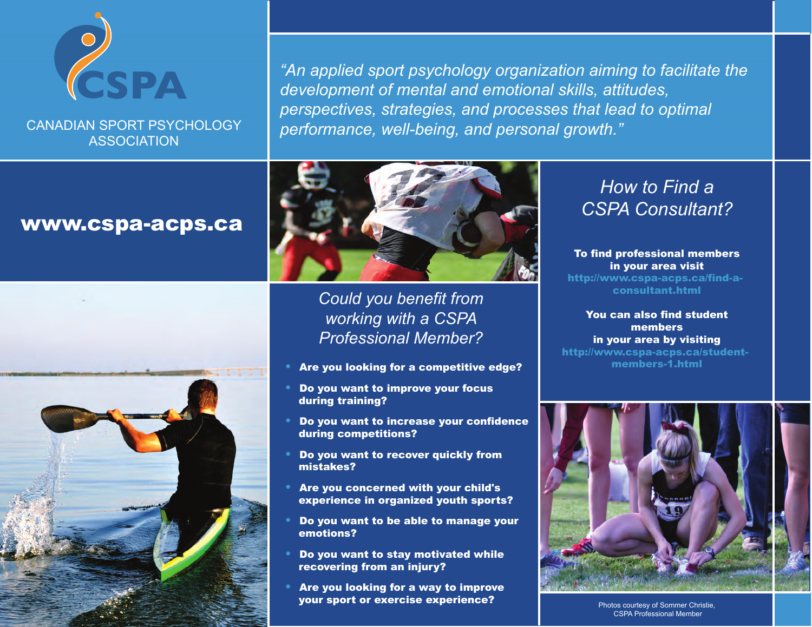

CANADIAN SPORT PSYCHOLOGY ASSOCIATION

*"An applied sport psychology organization aiming to facilitate the development of mental and emotional skills, attitudes, perspectives, strategies, and processes that lead to optimal performance, well-being, and personal growth."* 

## www.cspa-acps.ca





*Could you benefit from working with a CSPA Professional Member?*

- Are you looking for a competitive edge?
- Do you want to improve your focus during training?
- Do you want to increase your confidence during competitions?
- Do you want to recover quickly from mistakes?
- Are you concerned with your child's experience in organized youth sports?
- Do you want to be able to manage your emotions?
- Do you want to stay motivated while recovering from an injury?
- Are you looking for a way to improve your sport or exercise experience?

## *How to Find a CSPA Consultant?*

To find professional members in your area visit http://www.cspa-acps.ca/find-aconsultant.html

You can also find student members in your area by visiting http://www.cspa-acps.ca/studentmembers-1.html



Photos courtesy of Sommer Christie, CSPA Professional Member